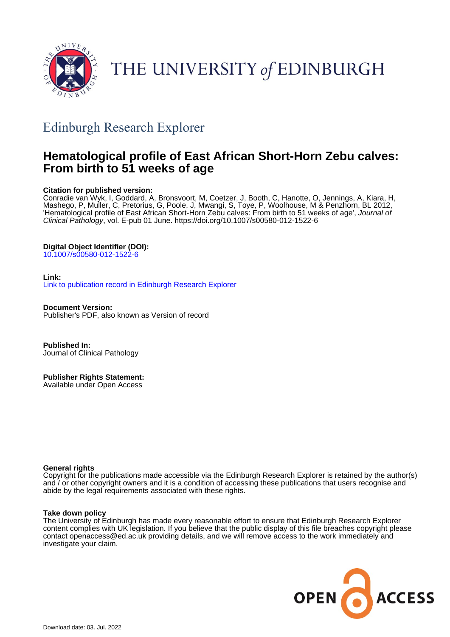

THE UNIVERSITY of EDINBURGH

# Edinburgh Research Explorer

## **Hematological profile of East African Short-Horn Zebu calves: From birth to 51 weeks of age**

## **Citation for published version:**

Conradie van Wyk, I, Goddard, A, Bronsvoort, M, Coetzer, J, Booth, C, Hanotte, O, Jennings, A, Kiara, H, Mashego, P, Muller, C, Pretorius, G, Poole, J, Mwangi, S, Toye, P, Woolhouse, M & Penzhorn, BL 2012, 'Hematological profile of East African Short-Horn Zebu calves: From birth to 51 weeks of age', Journal of Clinical Pathology, vol. E-pub 01 June. <https://doi.org/10.1007/s00580-012-1522-6>

## **Digital Object Identifier (DOI):**

[10.1007/s00580-012-1522-6](https://doi.org/10.1007/s00580-012-1522-6)

#### **Link:**

[Link to publication record in Edinburgh Research Explorer](https://www.research.ed.ac.uk/en/publications/13123d1e-991f-4a33-999d-dfac71bc89a8)

**Document Version:** Publisher's PDF, also known as Version of record

**Published In:** Journal of Clinical Pathology

**Publisher Rights Statement:** Available under Open Access

### **General rights**

Copyright for the publications made accessible via the Edinburgh Research Explorer is retained by the author(s) and / or other copyright owners and it is a condition of accessing these publications that users recognise and abide by the legal requirements associated with these rights.

#### **Take down policy**

The University of Edinburgh has made every reasonable effort to ensure that Edinburgh Research Explorer content complies with UK legislation. If you believe that the public display of this file breaches copyright please contact openaccess@ed.ac.uk providing details, and we will remove access to the work immediately and investigate your claim.

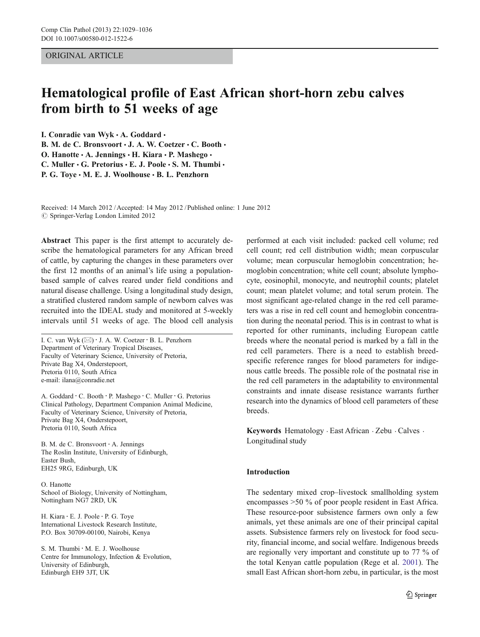#### ORIGINAL ARTICLE

## Hematological profile of East African short-horn zebu calves from birth to 51 weeks of age

I. Conradie van Wyk · A. Goddard ·

B. M. de C. Bronsvoort · J. A. W. Coetzer · C. Booth · O. Hanotte · A. Jennings · H. Kiara · P. Mashego · C. Muller  $\cdot$  G. Pretorius  $\cdot$  E. J. Poole  $\cdot$  S. M. Thumbi  $\cdot$ P. G. Toye . M. E. J. Woolhouse . B. L. Penzhorn

Received: 14 March 2012 /Accepted: 14 May 2012 / Published online: 1 June 2012  $\oslash$  Springer-Verlag London Limited 2012

Abstract This paper is the first attempt to accurately describe the hematological parameters for any African breed of cattle, by capturing the changes in these parameters over the first 12 months of an animal's life using a populationbased sample of calves reared under field conditions and natural disease challenge. Using a longitudinal study design, a stratified clustered random sample of newborn calves was recruited into the IDEAL study and monitored at 5-weekly intervals until 51 weeks of age. The blood cell analysis

I. C. van Wyk  $(\boxtimes) \cdot$  J. A. W. Coetzer  $\cdot$  B. L. Penzhorn Department of Veterinary Tropical Diseases, Faculty of Veterinary Science, University of Pretoria, Private Bag X4, Onderstepoort, Pretoria 0110, South Africa e-mail: ilana@conradie.net

A. Goddard : C. Booth : P. Mashego : C. Muller : G. Pretorius Clinical Pathology, Department Companion Animal Medicine, Faculty of Veterinary Science, University of Pretoria, Private Bag X4, Onderstepoort, Pretoria 0110, South Africa

B. M. de C. Bronsvoort : A. Jennings The Roslin Institute, University of Edinburgh, Easter Bush, EH25 9RG, Edinburgh, UK

O. Hanotte School of Biology, University of Nottingham, Nottingham NG7 2RD, UK

H. Kiara : E. J. Poole : P. G. Toye International Livestock Research Institute, P.O. Box 30709-00100, Nairobi, Kenya

S. M. Thumbi · M. E. J. Woolhouse Centre for Immunology, Infection & Evolution, University of Edinburgh, Edinburgh EH9 3JT, UK

performed at each visit included: packed cell volume; red cell count; red cell distribution width; mean corpuscular volume; mean corpuscular hemoglobin concentration; hemoglobin concentration; white cell count; absolute lymphocyte, eosinophil, monocyte, and neutrophil counts; platelet count; mean platelet volume; and total serum protein. The most significant age-related change in the red cell parameters was a rise in red cell count and hemoglobin concentration during the neonatal period. This is in contrast to what is reported for other ruminants, including European cattle breeds where the neonatal period is marked by a fall in the red cell parameters. There is a need to establish breedspecific reference ranges for blood parameters for indigenous cattle breeds. The possible role of the postnatal rise in the red cell parameters in the adaptability to environmental constraints and innate disease resistance warrants further research into the dynamics of blood cell parameters of these breeds.

Keywords Hematology . East African . Zebu . Calves . Longitudinal study

#### Introduction

The sedentary mixed crop–livestock smallholding system encompasses >50 % of poor people resident in East Africa. These resource-poor subsistence farmers own only a few animals, yet these animals are one of their principal capital assets. Subsistence farmers rely on livestock for food security, financial income, and social welfare. Indigenous breeds are regionally very important and constitute up to 77 % of the total Kenyan cattle population (Rege et al. [2001](#page-8-0)). The small East African short-horn zebu, in particular, is the most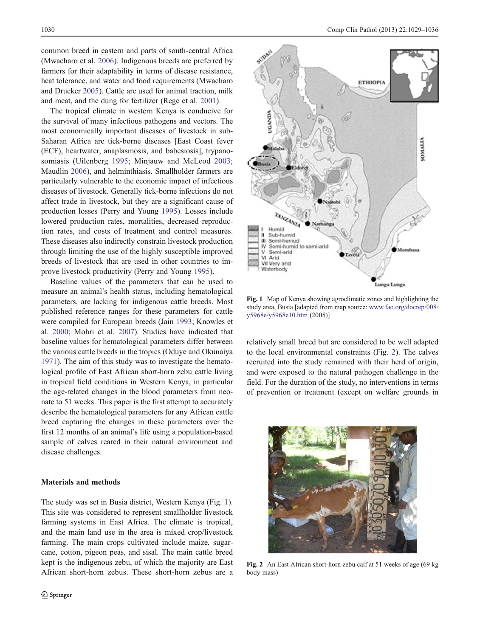common breed in eastern and parts of south-central Africa (Mwacharo et al. [2006\)](#page-8-0). Indigenous breeds are preferred by farmers for their adaptability in terms of disease resistance, heat tolerance, and water and food requirements (Mwacharo and Drucker [2005\)](#page-8-0). Cattle are used for animal traction, milk and meat, and the dung for fertilizer (Rege et al. [2001](#page-8-0)).

The tropical climate in western Kenya is conducive for the survival of many infectious pathogens and vectors. The most economically important diseases of livestock in sub-Saharan Africa are tick-borne diseases [East Coast fever (ECF), heartwater, anaplasmosis, and babesiosis], trypanosomiasis (Uilenberg [1995](#page-8-0); Minjauw and McLeod [2003](#page-8-0); Maudlin [2006\)](#page-8-0), and helminthiasis. Smallholder farmers are particularly vulnerable to the economic impact of infectious diseases of livestock. Generally tick-borne infections do not affect trade in livestock, but they are a significant cause of production losses (Perry and Young [1995](#page-8-0)). Losses include lowered production rates, mortalities, decreased reproduction rates, and costs of treatment and control measures. These diseases also indirectly constrain livestock production through limiting the use of the highly susceptible improved breeds of livestock that are used in other countries to improve livestock productivity (Perry and Young [1995\)](#page-8-0).

Baseline values of the parameters that can be used to measure an animal's health status, including hematological parameters, are lacking for indigenous cattle breeds. Most published reference ranges for these parameters for cattle were compiled for European breeds (Jain [1993](#page-8-0); Knowles et al. [2000;](#page-8-0) Mohri et al. [2007\)](#page-8-0). Studies have indicated that baseline values for hematological parameters differ between the various cattle breeds in the tropics (Oduye and Okunaiya [1971\)](#page-8-0). The aim of this study was to investigate the hematological profile of East African short-horn zebu cattle living in tropical field conditions in Western Kenya, in particular the age-related changes in the blood parameters from neonate to 51 weeks. This paper is the first attempt to accurately describe the hematological parameters for any African cattle breed capturing the changes in these parameters over the first 12 months of an animal's life using a population-based sample of calves reared in their natural environment and disease challenges.

#### Materials and methods

The study was set in Busia district, Western Kenya (Fig. 1). This site was considered to represent smallholder livestock farming systems in East Africa. The climate is tropical, and the main land use in the area is mixed crop/livestock farming. The main crops cultivated include maize, sugarcane, cotton, pigeon peas, and sisal. The main cattle breed kept is the indigenous zebu, of which the majority are East African short-horn zebus. These short-horn zebus are a



Fig. 1 Map of Kenya showing agroclimatic zones and highlighting the study area, Busia [adapted from map source: [www.fao.org/docrep/008/](http://www.fao.org/docrep/008/y5968e/y5968e10.htm) [y5968e/y5968e10.htm](http://www.fao.org/docrep/008/y5968e/y5968e10.htm) (2005)]

relatively small breed but are considered to be well adapted to the local environmental constraints (Fig. 2). The calves recruited into the study remained with their herd of origin, and were exposed to the natural pathogen challenge in the field. For the duration of the study, no interventions in terms of prevention or treatment (except on welfare grounds in



Fig. 2 An East African short-horn zebu calf at 51 weeks of age (69 kg body mass)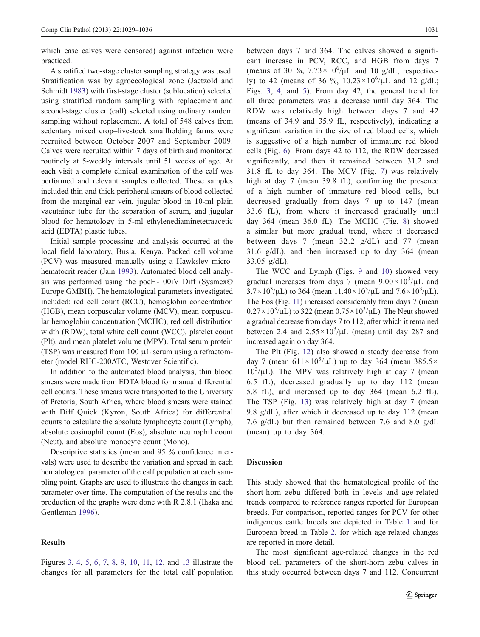which case calves were censored) against infection were practiced.

A stratified two-stage cluster sampling strategy was used. Stratification was by agroecological zone (Jaetzold and Schmidt [1983](#page-8-0)) with first-stage cluster (sublocation) selected using stratified random sampling with replacement and second-stage cluster (calf) selected using ordinary random sampling without replacement. A total of 548 calves from sedentary mixed crop–livestock smallholding farms were recruited between October 2007 and September 2009. Calves were recruited within 7 days of birth and monitored routinely at 5-weekly intervals until 51 weeks of age. At each visit a complete clinical examination of the calf was performed and relevant samples collected. These samples included thin and thick peripheral smears of blood collected from the marginal ear vein, jugular blood in 10-ml plain vacutainer tube for the separation of serum, and jugular blood for hematology in 5-ml ethylenediaminetetraacetic acid (EDTA) plastic tubes.

Initial sample processing and analysis occurred at the local field laboratory, Busia, Kenya. Packed cell volume (PCV) was measured manually using a Hawksley microhematocrit reader (Jain [1993\)](#page-8-0). Automated blood cell analysis was performed using the pocH-100iV Diff (Sysmex© Europe GMBH). The hematological parameters investigated included: red cell count (RCC), hemoglobin concentration (HGB), mean corpuscular volume (MCV), mean corpuscular hemoglobin concentration (MCHC), red cell distribution width (RDW), total white cell count (WCC), platelet count (Plt), and mean platelet volume (MPV). Total serum protein (TSP) was measured from 100 μL serum using a refractometer (model RHC-200ATC, Westover Scientific).

In addition to the automated blood analysis, thin blood smears were made from EDTA blood for manual differential cell counts. These smears were transported to the University of Pretoria, South Africa, where blood smears were stained with Diff Quick (Kyron, South Africa) for differential counts to calculate the absolute lymphocyte count (Lymph), absolute eosinophil count (Eos), absolute neutrophil count (Neut), and absolute monocyte count (Mono).

Descriptive statistics (mean and 95 % confidence intervals) were used to describe the variation and spread in each hematological parameter of the calf population at each sampling point. Graphs are used to illustrate the changes in each parameter over time. The computation of the results and the production of the graphs were done with R 2.8.1 (Ihaka and Gentleman [1996](#page-8-0)).

#### **Results**

Figures [3](#page-4-0), [4](#page-4-0), [5,](#page-4-0) [6,](#page-5-0) [7,](#page-5-0) [8,](#page-5-0) [9,](#page-5-0) [10,](#page-6-0) [11](#page-6-0), [12](#page-6-0), and [13](#page-6-0) illustrate the changes for all parameters for the total calf population between days 7 and 364. The calves showed a significant increase in PCV, RCC, and HGB from days 7 (means of 30 %,  $7.73 \times 10^6/\mu L$  and 10 g/dL, respectively) to 42 (means of 36 %,  $10.23 \times 10^6 / \mu L$  and 12 g/dL; Figs. [3](#page-4-0), [4,](#page-4-0) and [5\)](#page-4-0). From day 42, the general trend for all three parameters was a decrease until day 364. The RDW was relatively high between days 7 and 42 (means of 34.9 and 35.9 fL, respectively), indicating a significant variation in the size of red blood cells, which is suggestive of a high number of immature red blood cells (Fig. [6\)](#page-5-0). From days 42 to 112, the RDW decreased significantly, and then it remained between 31.2 and 31.8 fL to day 364. The MCV (Fig. [7](#page-5-0)) was relatively high at day 7 (mean 39.8 fL), confirming the presence of a high number of immature red blood cells, but decreased gradually from days 7 up to 147 (mean 33.6 fL), from where it increased gradually until day 364 (mean 36.0 fL). The MCHC (Fig. [8\)](#page-5-0) showed a similar but more gradual trend, where it decreased between days 7 (mean 32.2 g/dL) and 77 (mean 31.6 g/dL), and then increased up to day 364 (mean 33.05 g/dL).

The WCC and Lymph (Figs. [9](#page-5-0) and [10](#page-6-0)) showed very gradual increases from days 7 (mean  $9.00 \times 10^3/\mu L$  and  $3.7 \times 10^3/\mu L$ ) to 364 (mean 11.40×10<sup>3</sup>/ $\mu L$  and 7.6×10<sup>3</sup>/ $\mu L$ ). The Eos (Fig. [11](#page-6-0)) increased considerably from days 7 (mean  $0.27 \times 10^3/\mu L$ ) to 322 (mean  $0.75 \times 10^3/\mu L$ ). The Neut showed a gradual decrease from days 7 to 112, after which it remained between 2.4 and  $2.55 \times 10^3/\mu L$  (mean) until day 287 and increased again on day 364.

The Plt (Fig. [12\)](#page-6-0) also showed a steady decrease from day 7 (mean  $611 \times 10^3/\mu$ L) up to day 364 (mean 385.5×  $10^3/\mu L$ ). The MPV was relatively high at day 7 (mean 6.5 fL), decreased gradually up to day 112 (mean 5.8 fL), and increased up to day 364 (mean 6.2 fL). The TSP (Fig. [13](#page-6-0)) was relatively high at day 7 (mean 9.8 g/dL), after which it decreased up to day 112 (mean 7.6 g/dL) but then remained between 7.6 and 8.0 g/dL (mean) up to day 364.

#### Discussion

This study showed that the hematological profile of the short-horn zebu differed both in levels and age-related trends compared to reference ranges reported for European breeds. For comparison, reported ranges for PCV for other indigenous cattle breeds are depicted in Table [1](#page-7-0) and for European breed in Table [2,](#page-7-0) for which age-related changes are reported in more detail.

The most significant age-related changes in the red blood cell parameters of the short-horn zebu calves in this study occurred between days 7 and 112. Concurrent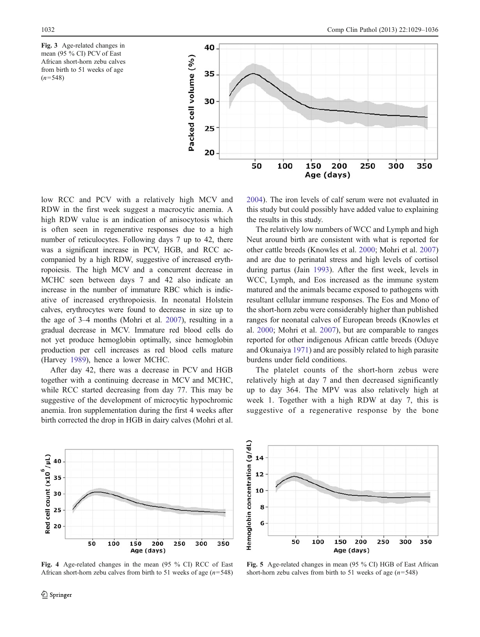<span id="page-4-0"></span>



low RCC and PCV with a relatively high MCV and RDW in the first week suggest a macrocytic anemia. A high RDW value is an indication of anisocytosis which is often seen in regenerative responses due to a high number of reticulocytes. Following days 7 up to 42, there was a significant increase in PCV, HGB, and RCC accompanied by a high RDW, suggestive of increased erythropoiesis. The high MCV and a concurrent decrease in MCHC seen between days 7 and 42 also indicate an increase in the number of immature RBC which is indicative of increased erythropoiesis. In neonatal Holstein calves, erythrocytes were found to decrease in size up to the age of 3–4 months (Mohri et al. [2007](#page-8-0)), resulting in a gradual decrease in MCV. Immature red blood cells do not yet produce hemoglobin optimally, since hemoglobin production per cell increases as red blood cells mature (Harvey [1989\)](#page-8-0), hence a lower MCHC.

After day 42, there was a decrease in PCV and HGB together with a continuing decrease in MCV and MCHC, while RCC started decreasing from day 77. This may be suggestive of the development of microcytic hypochromic anemia. Iron supplementation during the first 4 weeks after birth corrected the drop in HGB in dairy calves (Mohri et al. [2004](#page-8-0)). The iron levels of calf serum were not evaluated in this study but could possibly have added value to explaining the results in this study.

The relatively low numbers of WCC and Lymph and high Neut around birth are consistent with what is reported for other cattle breeds (Knowles et al. [2000;](#page-8-0) Mohri et al. [2007](#page-8-0)) and are due to perinatal stress and high levels of cortisol during partus (Jain [1993\)](#page-8-0). After the first week, levels in WCC, Lymph, and Eos increased as the immune system matured and the animals became exposed to pathogens with resultant cellular immune responses. The Eos and Mono of the short-horn zebu were considerably higher than published ranges for neonatal calves of European breeds (Knowles et al. [2000](#page-8-0); Mohri et al. [2007](#page-8-0)), but are comparable to ranges reported for other indigenous African cattle breeds (Oduye and Okunaiya [1971](#page-8-0)) and are possibly related to high parasite burdens under field conditions.

The platelet counts of the short-horn zebus were relatively high at day 7 and then decreased significantly up to day 364. The MPV was also relatively high at week 1. Together with a high RDW at day 7, this is suggestive of a regenerative response by the bone



Fig. 4 Age-related changes in the mean (95 % CI) RCC of East African short-horn zebu calves from birth to 51 weeks of age  $(n=548)$ 



Fig. 5 Age-related changes in mean (95 % CI) HGB of East African short-horn zebu calves from birth to 51 weeks of age  $(n=548)$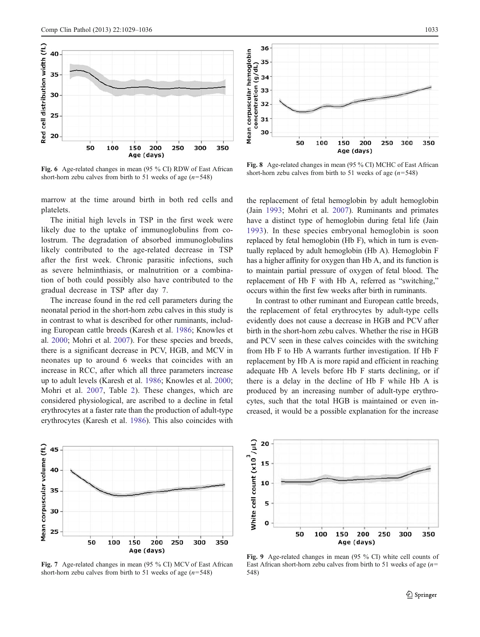<span id="page-5-0"></span>

Fig. 6 Age-related changes in mean (95 % CI) RDW of East African short-horn zebu calves from birth to 51 weeks of age  $(n=548)$ 

marrow at the time around birth in both red cells and platelets.

The initial high levels in TSP in the first week were likely due to the uptake of immunoglobulins from colostrum. The degradation of absorbed immunoglobulins likely contributed to the age-related decrease in TSP after the first week. Chronic parasitic infections, such as severe helminthiasis, or malnutrition or a combination of both could possibly also have contributed to the gradual decrease in TSP after day 7.

The increase found in the red cell parameters during the neonatal period in the short-horn zebu calves in this study is in contrast to what is described for other ruminants, including European cattle breeds (Karesh et al. [1986;](#page-8-0) Knowles et al. [2000;](#page-8-0) Mohri et al. [2007](#page-8-0)). For these species and breeds, there is a significant decrease in PCV, HGB, and MCV in neonates up to around 6 weeks that coincides with an increase in RCC, after which all three parameters increase up to adult levels (Karesh et al. [1986](#page-8-0); Knowles et al. [2000](#page-8-0); Mohri et al. [2007](#page-8-0), Table [2\)](#page-7-0). These changes, which are considered physiological, are ascribed to a decline in fetal erythrocytes at a faster rate than the production of adult-type erythrocytes (Karesh et al. [1986](#page-8-0)). This also coincides with



Fig. 7 Age-related changes in mean (95 % CI) MCV of East African short-horn zebu calves from birth to 51 weeks of age  $(n=548)$ 



Fig. 8 Age-related changes in mean (95 % CI) MCHC of East African short-horn zebu calves from birth to 51 weeks of age  $(n=548)$ 

the replacement of fetal hemoglobin by adult hemoglobin (Jain [1993](#page-8-0); Mohri et al. [2007\)](#page-8-0). Ruminants and primates have a distinct type of hemoglobin during fetal life (Jain [1993](#page-8-0)). In these species embryonal hemoglobin is soon replaced by fetal hemoglobin (Hb F), which in turn is eventually replaced by adult hemoglobin (Hb A). Hemoglobin F has a higher affinity for oxygen than Hb A, and its function is to maintain partial pressure of oxygen of fetal blood. The replacement of Hb F with Hb A, referred as "switching," occurs within the first few weeks after birth in ruminants.

In contrast to other ruminant and European cattle breeds, the replacement of fetal erythrocytes by adult-type cells evidently does not cause a decrease in HGB and PCV after birth in the short-horn zebu calves. Whether the rise in HGB and PCV seen in these calves coincides with the switching from Hb F to Hb A warrants further investigation. If Hb F replacement by Hb A is more rapid and efficient in reaching adequate Hb A levels before Hb F starts declining, or if there is a delay in the decline of Hb F while Hb A is produced by an increasing number of adult-type erythrocytes, such that the total HGB is maintained or even increased, it would be a possible explanation for the increase



Fig. 9 Age-related changes in mean (95 % CI) white cell counts of East African short-horn zebu calves from birth to 51 weeks of age  $(n=$ 548)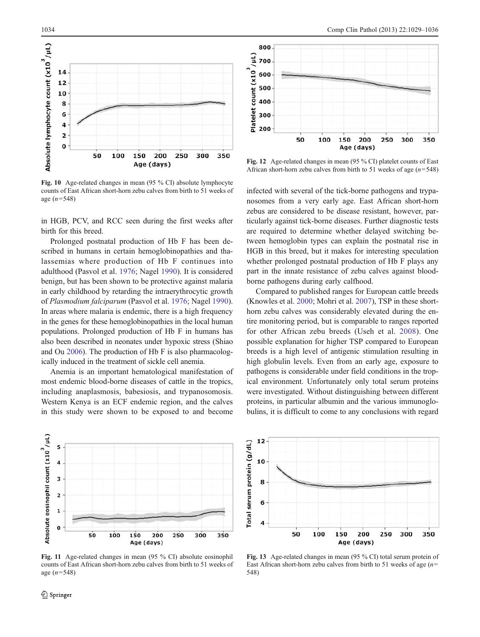<span id="page-6-0"></span>

Fig. 10 Age-related changes in mean (95 % CI) absolute lymphocyte counts of East African short-horn zebu calves from birth to 51 weeks of age  $(n=548)$ 

in HGB, PCV, and RCC seen during the first weeks after birth for this breed.

Prolonged postnatal production of Hb F has been described in humans in certain hemoglobinopathies and thalassemias where production of Hb F continues into adulthood (Pasvol et al. [1976](#page-8-0); Nagel [1990\)](#page-8-0). It is considered benign, but has been shown to be protective against malaria in early childhood by retarding the intraerythrocytic growth of Plasmodium falciparum (Pasvol et al. [1976](#page-8-0); Nagel [1990](#page-8-0)). In areas where malaria is endemic, there is a high frequency in the genes for these hemoglobinopathies in the local human populations. Prolonged production of Hb F in humans has also been described in neonates under hypoxic stress (Shiao and Ou [2006](#page-8-0)). The production of Hb F is also pharmacologically induced in the treatment of sickle cell anemia.

Anemia is an important hematological manifestation of most endemic blood-borne diseases of cattle in the tropics, including anaplasmosis, babesiosis, and trypanosomosis. Western Kenya is an ECF endemic region, and the calves in this study were shown to be exposed to and become



Fig. 11 Age-related changes in mean (95 % CI) absolute eosinophil counts of East African short-horn zebu calves from birth to 51 weeks of age  $(n=548)$ 



Fig. 12 Age-related changes in mean (95 % CI) platelet counts of East African short-horn zebu calves from birth to 51 weeks of age  $(n=548)$ 

infected with several of the tick-borne pathogens and trypanosomes from a very early age. East African short-horn zebus are considered to be disease resistant, however, particularly against tick-borne diseases. Further diagnostic tests are required to determine whether delayed switching between hemoglobin types can explain the postnatal rise in HGB in this breed, but it makes for interesting speculation whether prolonged postnatal production of Hb F plays any part in the innate resistance of zebu calves against bloodborne pathogens during early calfhood.

Compared to published ranges for European cattle breeds (Knowles et al. [2000](#page-8-0); Mohri et al. [2007](#page-8-0)), TSP in these shorthorn zebu calves was considerably elevated during the entire monitoring period, but is comparable to ranges reported for other African zebu breeds (Useh et al. [2008\)](#page-8-0). One possible explanation for higher TSP compared to European breeds is a high level of antigenic stimulation resulting in high globulin levels. Even from an early age, exposure to pathogens is considerable under field conditions in the tropical environment. Unfortunately only total serum proteins were investigated. Without distinguishing between different proteins, in particular albumin and the various immunoglobulins, it is difficult to come to any conclusions with regard



Fig. 13 Age-related changes in mean (95 % CI) total serum protein of East African short-horn zebu calves from birth to 51 weeks of age  $(n=$ 548)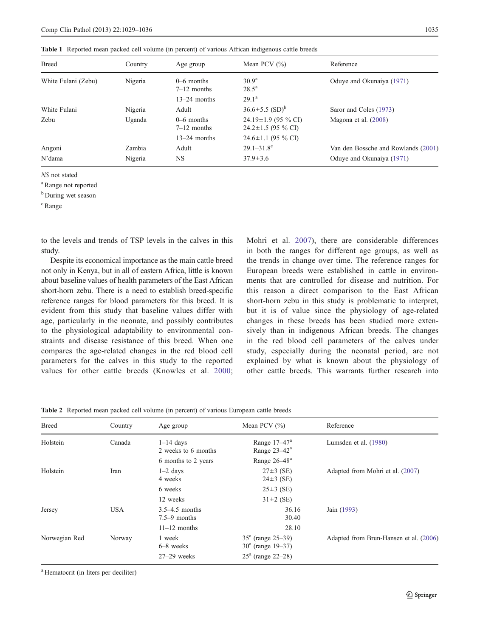<span id="page-7-0"></span>

|  |  | Table 1 Reported mean packed cell volume (in percent) of various African indigenous cattle breeds |  |  |  |  |  |  |  |  |  |  |
|--|--|---------------------------------------------------------------------------------------------------|--|--|--|--|--|--|--|--|--|--|
|--|--|---------------------------------------------------------------------------------------------------|--|--|--|--|--|--|--|--|--|--|

| <b>Breed</b>        | Country | Age group                     | Mean PCV $(\% )$                                      | Reference                           |  |  |
|---------------------|---------|-------------------------------|-------------------------------------------------------|-------------------------------------|--|--|
| White Fulani (Zebu) | Nigeria | $0-6$ months<br>$7-12$ months | 30.9 <sup>a</sup><br>$28.5^{\rm a}$                   | Oduye and Okunaiya (1971)           |  |  |
|                     |         | $13-24$ months                | $29.1^{\rm a}$                                        |                                     |  |  |
| White Fulani        | Nigeria | Adult                         | $36.6 \pm 5.5$ (SD) <sup>b</sup>                      | Saror and Coles (1973)              |  |  |
| Zebu                | Uganda  | $0-6$ months<br>$7-12$ months | $24.19 \pm 1.9$ (95 % CI)<br>$24.2 \pm 1.5$ (95 % CI) | Magona et al. (2008)                |  |  |
|                     |         | $13-24$ months                | $24.6 \pm 1.1$ (95 % CI)                              |                                     |  |  |
| Angoni              | Zambia  | Adult                         | $29.1 - 31.8$ <sup>c</sup>                            | Van den Bossche and Rowlands (2001) |  |  |
| N'dama<br>Nigeria   |         | NS                            | $37.9 \pm 3.6$                                        | Oduye and Okunaiya (1971)           |  |  |

NS not stated

<sup>a</sup> Range not reported

<sup>b</sup> During wet season

<sup>c</sup> Range

to the levels and trends of TSP levels in the calves in this study.

Despite its economical importance as the main cattle breed not only in Kenya, but in all of eastern Africa, little is known about baseline values of health parameters of the East African short-horn zebu. There is a need to establish breed-specific reference ranges for blood parameters for this breed. It is evident from this study that baseline values differ with age, particularly in the neonate, and possibly contributes to the physiological adaptability to environmental constraints and disease resistance of this breed. When one compares the age-related changes in the red blood cell parameters for the calves in this study to the reported values for other cattle breeds (Knowles et al. [2000](#page-8-0); Mohri et al. [2007\)](#page-8-0), there are considerable differences in both the ranges for different age groups, as well as the trends in change over time. The reference ranges for European breeds were established in cattle in environments that are controlled for disease and nutrition. For this reason a direct comparison to the East African short-horn zebu in this study is problematic to interpret, but it is of value since the physiology of age-related changes in these breeds has been studied more extensively than in indigenous African breeds. The changes in the red blood cell parameters of the calves under study, especially during the neonatal period, are not explained by what is known about the physiology of other cattle breeds. This warrants further research into

Table 2 Reported mean packed cell volume (in percent) of various European cattle breeds

| <b>Breed</b>  | Country<br>Age group |                                      | Mean PCV $(\% )$                                | Reference                              |  |  |
|---------------|----------------------|--------------------------------------|-------------------------------------------------|----------------------------------------|--|--|
| Holstein      | Canada               | $1-14$ days<br>2 weeks to 6 months   | Range $17-47^a$<br>Range $23-42^a$              | Lumsden et al. (1980)                  |  |  |
|               |                      | 6 months to 2 years                  | Range 26–48 <sup>a</sup>                        |                                        |  |  |
| Holstein      | Iran                 | $1-2$ days<br>4 weeks                | $27\pm3$ (SE)<br>$24\pm3$ (SE)                  | Adapted from Mohri et al. (2007)       |  |  |
|               |                      | 6 weeks                              | $25\pm3$ (SE)                                   |                                        |  |  |
|               |                      | 12 weeks                             | $31 \pm 2$ (SE)                                 |                                        |  |  |
| Jersey        | <b>USA</b>           | $3.5-4.5$ months<br>$7.5 - 9$ months | 36.16<br>30.40                                  | Jain (1993)                            |  |  |
|               |                      | $11-12$ months                       | 28.10                                           |                                        |  |  |
| Norwegian Red | Norway               | 1 week<br>$6-8$ weeks                | $35^a$ (range $25-39$ )<br>$30^a$ (range 19–37) | Adapted from Brun-Hansen et al. (2006) |  |  |
|               |                      | $27-29$ weeks                        | $25^a$ (range 22–28)                            |                                        |  |  |

<sup>a</sup> Hematocrit (in liters per deciliter)